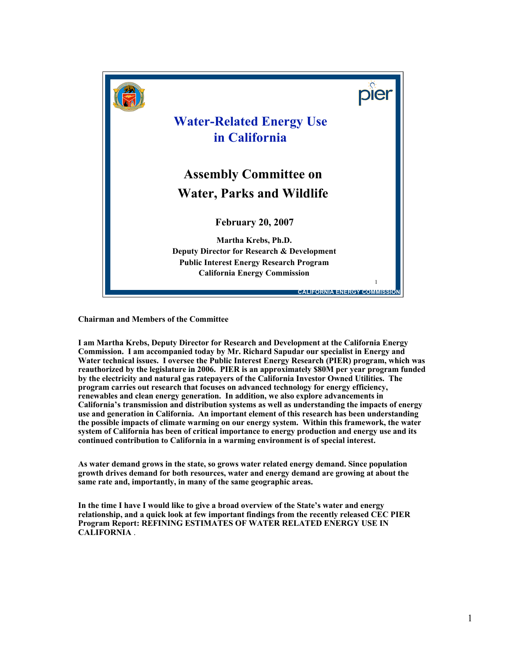

**Chairman and Members of the Committee**

**I am Martha Krebs, Deputy Director for Research and Development at the California Energy Commission. I am accompanied today by Mr. Richard Sapudar our specialist in Energy and Water technical issues. I oversee the Public Interest Energy Research (PIER) program, which was reauthorized by the legislature in 2006. PIER is an approximately \$80M per year program funded by the electricity and natural gas ratepayers of the California Investor Owned Utilities. The program carries out research that focuses on advanced technology for energy efficiency, renewables and clean energy generation. In addition, we also explore advancements in California's transmission and distribution systems as well as understanding the impacts of energy use and generation in California. An important element of this research has been understanding the possible impacts of climate warming on our energy system. Within this framework, the water system of California has been of critical importance to energy production and energy use and its continued contribution to California in a warming environment is of special interest.**

**As water demand grows in the state, so grows water related energy demand. Since population growth drives demand for both resources, water and energy demand are growing at about the same rate and, importantly, in many of the same geographic areas.**

**In the time I have I would like to give a broad overview of the State's water and energy relationship, and a quick look at few important findings from the recently released CEC PIER Program Report: REFINING ESTIMATES OF WATER RELATED ENERGY USE IN CALIFORNIA** .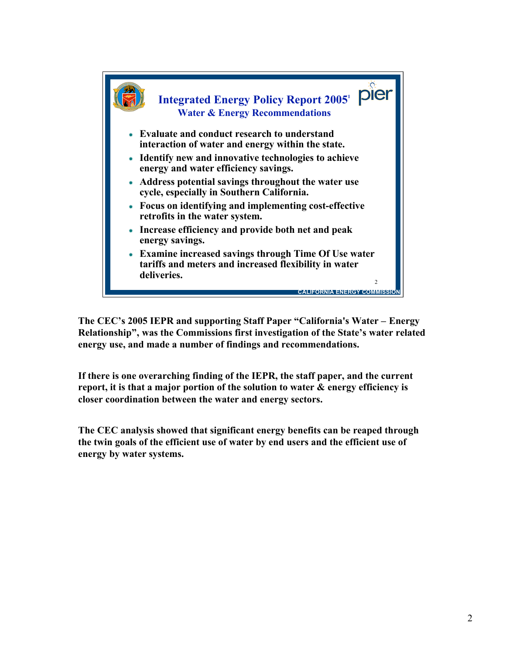

**The CEC's 2005 IEPR and supporting Staff Paper "California's Water – Energy Relationship", was the Commissions first investigation of the State's water related energy use, and made a number of findings and recommendations.**

**If there is one overarching finding of the IEPR, the staff paper, and the current report, it is that a major portion of the solution to water & energy efficiency is closer coordination between the water and energy sectors.**

**The CEC analysis showed that significant energy benefits can be reaped through the twin goals of the efficient use of water by end users and the efficient use of energy by water systems.**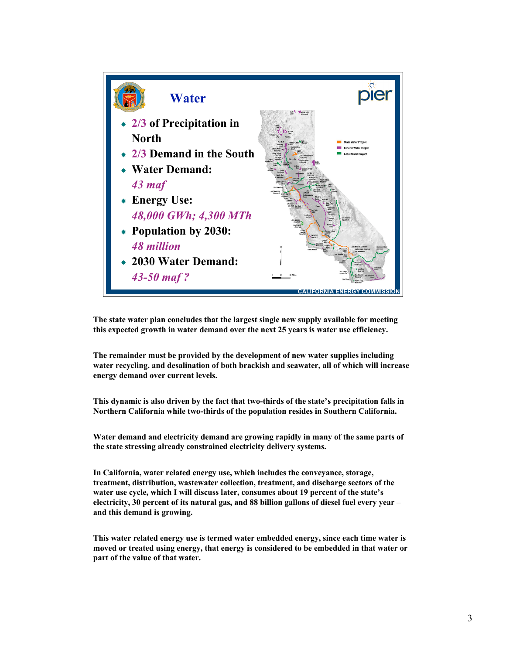

**The state water plan concludes that the largest single new supply available for meeting this expected growth in water demand over the next 25 years is water use efficiency.**

**The remainder must be provided by the development of new water supplies including water recycling, and desalination of both brackish and seawater, all of which will increase energy demand over current levels.**

**This dynamic is also driven by the fact that two-thirds of the state's precipitation falls in Northern California while two-thirds of the population resides in Southern California.**

**Water demand and electricity demand are growing rapidly in many of the same parts of the state stressing already constrained electricity delivery systems.**

**In California, water related energy use, which includes the conveyance, storage, treatment, distribution, wastewater collection, treatment, and discharge sectors of the water use cycle, which I will discuss later, consumes about 19 percent of the state's electricity, 30 percent of its natural gas, and 88 billion gallons of diesel fuel every year – and this demand is growing.**

**This water related energy use is termed water embedded energy, since each time water is moved or treated using energy, that energy is considered to be embedded in that water or part of the value of that water.**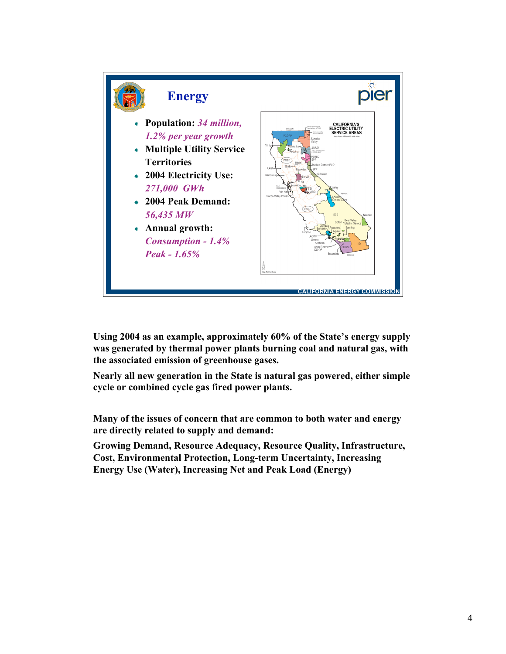

**Using 2004 as an example, approximately 60% of the State's energy supply was generated by thermal power plants burning coal and natural gas, with the associated emission of greenhouse gases.**

**Nearly all new generation in the State is natural gas powered, either simple cycle or combined cycle gas fired power plants.**

**Many of the issues of concern that are common to both water and energy are directly related to supply and demand:**

**Growing Demand, Resource Adequacy, Resource Quality, Infrastructure, Cost, Environmental Protection, Long-term Uncertainty, Increasing Energy Use (Water), Increasing Net and Peak Load (Energy)**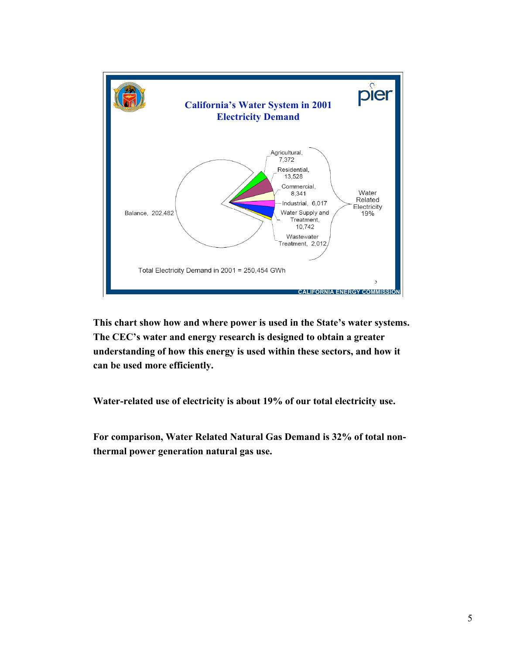

**This chart show how and where power is used in the State's water systems. The CEC's water and energy research is designed to obtain a greater understanding of how this energy is used within these sectors, and how it can be used more efficiently.**

**Water-related use of electricity is about 19% of our total electricity use.**

**For comparison, Water Related Natural Gas Demand is 32% of total nonthermal power generation natural gas use.**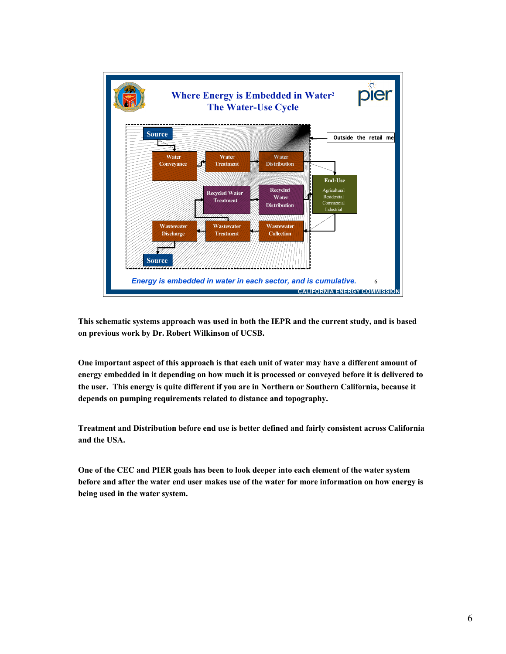

**This schematic systems approach was used in both the IEPR and the current study, and is based on previous work by Dr. Robert Wilkinson of UCSB.**

**One important aspect of this approach is that each unit of water may have a different amount of energy embedded in it depending on how much it is processed or conveyed before it is delivered to the user. This energy is quite different if you are in Northern or Southern California, because it depends on pumping requirements related to distance and topography.**

**Treatment and Distribution before end use is better defined and fairly consistent across California and the USA.**

**One of the CEC and PIER goals has been to look deeper into each element of the water system** before and after the water end user makes use of the water for more information on how energy is **being used in the water system.**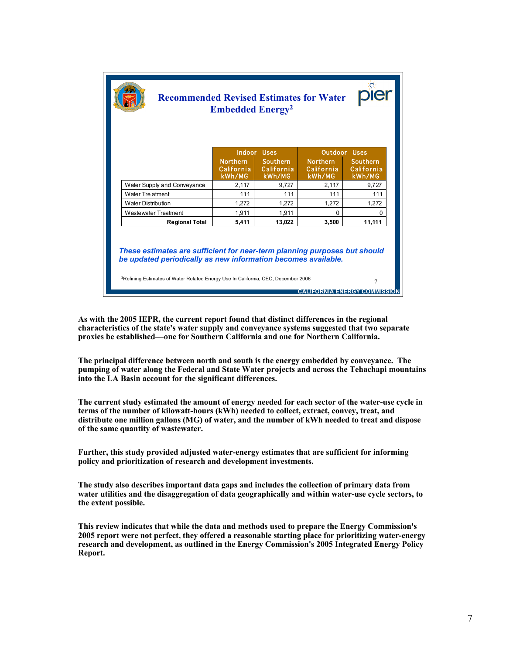| <b>Recommended Revised Estimates for Water</b><br><b>Embedded Energy<sup>2</sup></b>                                                                                                                                                                                                        |                                        |                                         |                                        |                                  |
|---------------------------------------------------------------------------------------------------------------------------------------------------------------------------------------------------------------------------------------------------------------------------------------------|----------------------------------------|-----------------------------------------|----------------------------------------|----------------------------------|
|                                                                                                                                                                                                                                                                                             | Indoor Uses                            |                                         | Outdoor Uses                           |                                  |
|                                                                                                                                                                                                                                                                                             | <b>Northern</b><br>Calfornia<br>kWh/MG | <b>Southern</b><br>California<br>kWh/MG | <b>Northern</b><br>Calfornia<br>kWh/MG | Southern<br>California<br>kWh/MG |
| Water Supply and Conveyance                                                                                                                                                                                                                                                                 | 2,117                                  | 9,727                                   | 2,117                                  | 9,727                            |
| Water Tre atment                                                                                                                                                                                                                                                                            | 111                                    | 111                                     | 111                                    | 111                              |
| <b>Water Distribution</b>                                                                                                                                                                                                                                                                   | 1,272                                  | 1,272                                   | 1,272                                  | 1,272                            |
| <b>Wastewater Treatment</b>                                                                                                                                                                                                                                                                 | 1.911                                  | 1.911                                   | 0                                      | n                                |
| <b>Regional Total</b>                                                                                                                                                                                                                                                                       | 5,411                                  | 13.022                                  | 3.500                                  | 11,111                           |
| These estimates are sufficient for near-term planning purposes but should<br>be updated periodically as new information becomes available.<br><sup>2</sup> Refining Estimates of Water Related Energy Use In California, CEC, December 2006<br>$\overline{7}$<br>IFORNIA ENERGY COMMISSION. |                                        |                                         |                                        |                                  |

**As with the 2005 IEPR, the current report found that distinct differences in the regional characteristics of the state's water supply and conveyance systems suggested that two separate proxies be established—one for Southern California and one for Northern California.**

**The principal difference between north and south is the energy embedded by conveyance. The pumping of water along the Federal and State Water projects and across the Tehachapi mountains into the LA Basin account for the significant differences.**

**The current study estimated the amount of energy needed for each sector of the water-use cycle in terms of the number of kilowatt-hours (kWh) needed to collect, extract, convey, treat, and distribute one million gallons (MG) of water, and the number of kWh needed to treat and dispose of the same quantity of wastewater.**

**Further, this study provided adjusted water-energy estimates that are sufficient for informing policy and prioritization of research and development investments.**

**The study also describes important data gaps and includes the collection of primary data from water utilities and the disaggregation of data geographically and within water-use cycle sectors, to the extent possible.**

**This review indicates that while the data and methods used to prepare the Energy Commission's 2005 report were not perfect, they offered a reasonable starting place for prioritizing water-energy research and development, as outlined in the Energy Commission's 2005 Integrated Energy Policy Report.**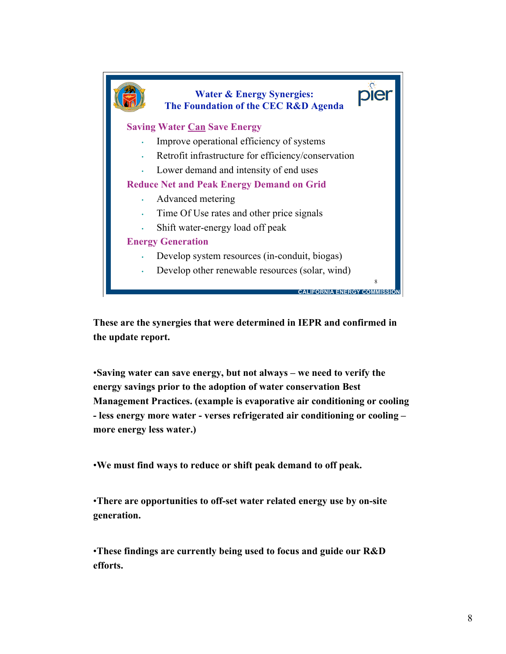

**These are the synergies that were determined in IEPR and confirmed in the update report.**

•**Saving water can save energy, but not always – we need to verify the energy savings prior to the adoption of water conservation Best Management Practices. (example is evaporative air conditioning or cooling - less energy more water - verses refrigerated air conditioning or cooling – more energy less water.)**

•**We must find ways to reduce or shift peak demand to off peak.**

•**There are opportunities to off-set water related energy use by on-site generation.**

•**These findings are currently being used to focus and guide our R&D efforts.**